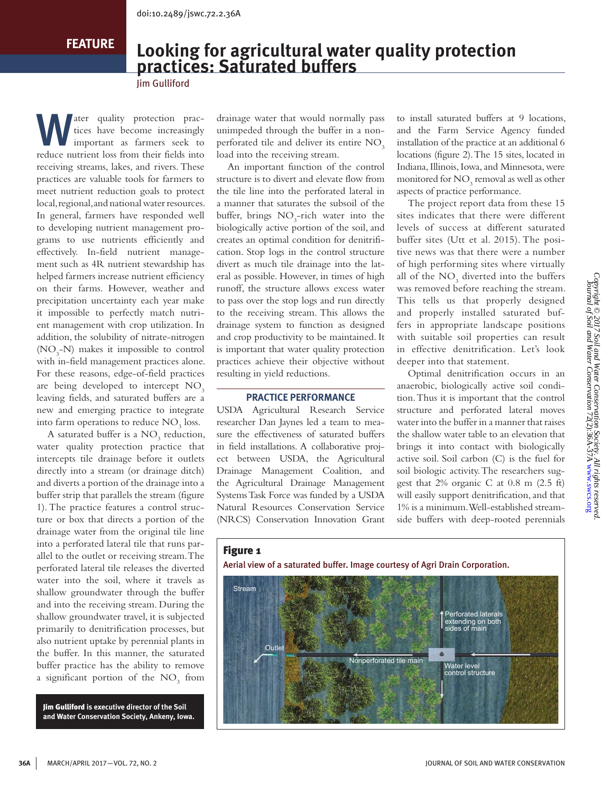**FEATURE**

# **Looking for agricultural water quality protection practices: Saturated buffers**

Jim Gulliford

The quality protection prac-<br>tices have become increasingly<br>important as farmers seek to tices have become increasingly important as farmers seek to reduce nutrient loss from their fields into receiving streams, lakes, and rivers. These practices are valuable tools for farmers to meet nutrient reduction goals to protect local, regional, and national water resources. In general, farmers have responded well to developing nutrient management programs to use nutrients efficiently and effectively. In-field nutrient management such as 4R nutrient stewardship has helped farmers increase nutrient efficiency on their farms. However, weather and precipitation uncertainty each year make it impossible to perfectly match nutrient management with crop utilization. In addition, the solubility of nitrate-nitrogen ( $NO<sub>3</sub>$ -N) makes it impossible to control with in-field management practices alone. For these reasons, edge-of-field practices are being developed to intercept  $NO<sub>3</sub>$ leaving fields, and saturated buffers are a new and emerging practice to integrate into farm operations to reduce  $\rm NO_3$  loss.

A saturated buffer is a  $NO<sub>3</sub>$  reduction, water quality protection practice that intercepts tile drainage before it outlets directly into a stream (or drainage ditch) and diverts a portion of the drainage into a buffer strip that parallels the stream (figure 1). The practice features a control structure or box that directs a portion of the drainage water from the original tile line into a perforated lateral tile that runs parallel to the outlet or receiving stream. The perforated lateral tile releases the diverted water into the soil, where it travels as shallow groundwater through the buffer and into the receiving stream. During the shallow groundwater travel, it is subjected primarily to denitrification processes, but also nutrient uptake by perennial plants in the buffer. In this manner, the saturated buffer practice has the ability to remove a significant portion of the  $NO<sub>3</sub>$  from

Jim Gulliford **is executive director of the Soil and Water Conservation Society, Ankeny, Iowa.** drainage water that would normally pass unimpeded through the buffer in a nonperforated tile and deliver its entire NO<sub>3</sub> load into the receiving stream.

An important function of the control structure is to divert and elevate flow from the tile line into the perforated lateral in a manner that saturates the subsoil of the buffer, brings  $NO<sub>3</sub>-rich$  water into the biologically active portion of the soil, and creates an optimal condition for denitrification. Stop logs in the control structure divert as much tile drainage into the lateral as possible. However, in times of high runoff, the structure allows excess water to pass over the stop logs and run directly to the receiving stream. This allows the drainage system to function as designed and crop productivity to be maintained. It is important that water quality protection practices achieve their objective without resulting in yield reductions.

### **PRACTICE PERFORMANCE**

USDA Agricultural Research Service researcher Dan Jaynes led a team to measure the effectiveness of saturated buffers in field installations. A collaborative project between USDA, the Agricultural Drainage Management Coalition, and the Agricultural Drainage Management Systems Task Force was funded by a USDA Natural Resources Conservation Service (NRCS) Conservation Innovation Grant to install saturated buffers at 9 locations, and the Farm Service Agency funded installation of the practice at an additional 6 locations (figure 2). The 15 sites, located in Indiana, Illinois, Iowa, and Minnesota, were monitored for  $\mathrm{NO}_3$  removal as well as other aspects of practice performance.

The project report data from these 15 sites indicates that there were different levels of success at different saturated buffer sites (Utt et al. 2015). The positive news was that there were a number of high performing sites where virtually all of the  $NO<sub>3</sub>$  diverted into the buffers was removed before reaching the stream. This tells us that properly designed and properly installed saturated buffers in appropriate landscape positions with suitable soil properties can result in effective denitrification. Let's look deeper into that statement.

Optimal denitrification occurs in an anaerobic, biologically active soil condition. Thus it is important that the control structure and perforated lateral moves water into the buffer in a manner that raises the shallow water table to an elevation that brings it into contact with biologically active soil. Soil carbon (C) is the fuel for soil biologic activity. The researchers suggest that 2% organic C at 0.8 m (2.5 ft) will easily support denitrification, and that 1% is a minimum. Well-established streamside buffers with deep-rooted perennials

## Figure 1